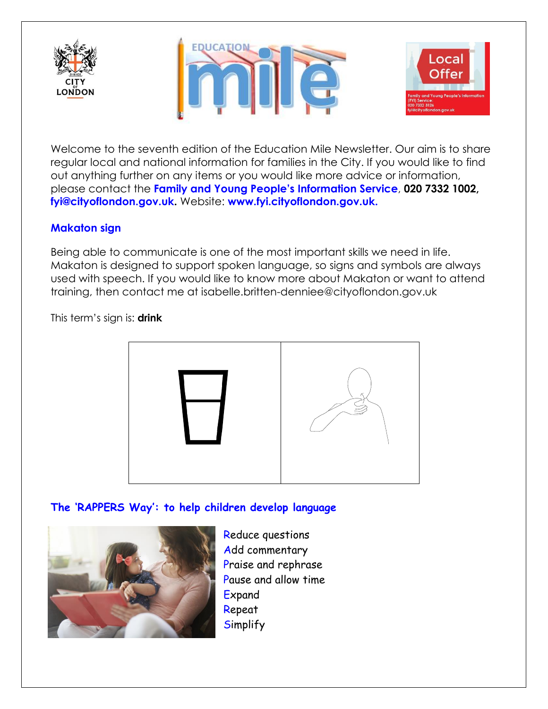





Welcome to the seventh edition of the Education Mile Newsletter. Our aim is to share regular local and national information for families in the City. If you would like to find out anything further on any items or you would like more advice or information, please contact the **Family and Young People's Information Service**, **020 7332 1002, [fyi@cityoflondon.gov.uk.](mailto:fyi@cityoflondon.gov.uk)** Website: **[www.fyi.cityoflondon.gov.uk.](http://www.fyi.cityoflondon.gov.uk/)**

# **Makaton sign**

Being able to communicate is one of the most important skills we need in life. Makaton is designed to support spoken language, so signs and symbols are always used with speech. If you would like to know more about Makaton or want to attend training, then contact me at isabelle.britten-denniee@cityoflondon.gov.uk

This term's sign is: **drink**



# **The 'RAPPERS Way': to help children develop language**



Reduce questions Add commentary Praise and rephrase Pause and allow time **Expand** Repeat **Simplify**